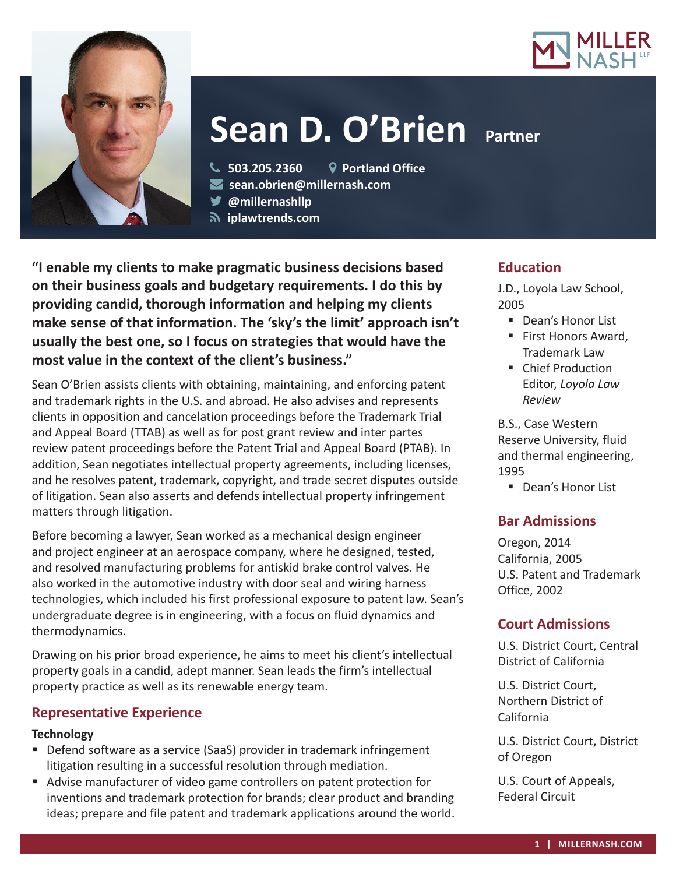



# **Sean D. O'Brien Partner**

**503.205.2360 Portland Office**

**sean.obrien@millernash.com** 

**@millernashllp** 

 **iplawtrends.com**

**"I enable my clients to make pragmatic business decisions based on their business goals and budgetary requirements. I do this by providing candid, thorough information and helping my clients make sense of that information. The 'sky's the limit' approach isn't usually the best one, so I focus on strategies that would have the most value in the context of the client's business."**

Sean O'Brien assists clients with obtaining, maintaining, and enforcing patent and trademark rights in the U.S. and abroad. He also advises and represents clients in opposition and cancelation proceedings before the Trademark Trial and Appeal Board (TTAB) as well as for post grant review and inter partes review patent proceedings before the Patent Trial and Appeal Board (PTAB). In addition, Sean negotiates intellectual property agreements, including licenses, and he resolves patent, trademark, copyright, and trade secret disputes outside of litigation. Sean also asserts and defends intellectual property infringement matters through litigation.

Before becoming a lawyer, Sean worked as a mechanical design engineer and project engineer at an aerospace company, where he designed, tested, and resolved manufacturing problems for antiskid brake control valves. He also worked in the automotive industry with door seal and wiring harness technologies, which included his first professional exposure to patent law. Sean's undergraduate degree is in engineering, with a focus on fluid dynamics and thermodynamics.

Drawing on his prior broad experience, he aims to meet his client's intellectual property goals in a candid, adept manner. Sean leads the firm's intellectual property practice as well as its renewable energy team.

# **Representative Experience**

### **Technology**

- Defend software as a service (SaaS) provider in trademark infringement litigation resulting in a successful resolution through mediation.
- Advise manufacturer of video game controllers on patent protection for inventions and trademark protection for brands; clear product and branding ideas; prepare and file patent and trademark applications around the world.

# **Education**

J.D., Loyola Law School, 2005

- Dean's Honor List
- First Honors Award, Trademark Law
- Chief Production Editor, *Loyola Law Review*

B.S., Case Western Reserve University, fluid and thermal engineering, 1995

■ Dean's Honor List

# **Bar Admissions**

Oregon, 2014 California, 2005 U.S. Patent and Trademark Office, 2002

# **Court Admissions**

U.S. District Court, Central District of California

U.S. District Court, Northern District of California

U.S. District Court, District of Oregon

U.S. Court of Appeals, Federal Circuit

- 
-